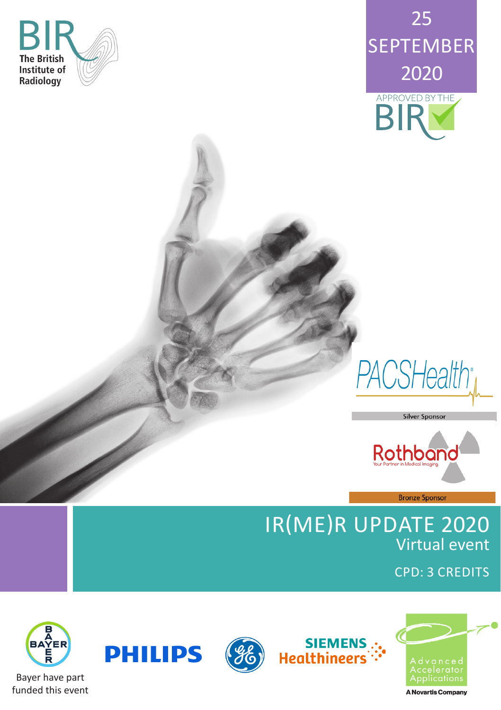







**Bronze Sponsor** 

**Silver Sponsor** 

### IR(ME)R UPDATE 2020 Virtual event

CPD: 3 CREDITS







siEMENS<br>":- Healthineers

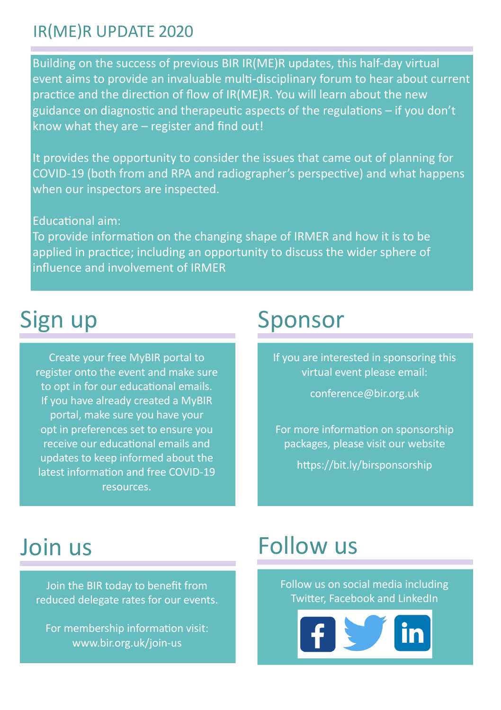### IR(ME)R UPDATE 2020

Building on the success of previous BIR IR(ME)R updates, this half-day virtual event aims to provide an invaluable multi-disciplinary forum to hear about current practice and the direction of flow of IR(ME)R. You will learn about the new guidance on diagnostic and therapeutic aspects of the regulations – if you don't know what they are – register and find out!

It provides the opportunity to consider the issues that came out of planning for COVID-19 (both from and RPA and radiographer's perspective) and what happens when our inspectors are inspected.

### Educational aim:

To provide information on the changing shape of IRMER and how it is to be applied in practice; including an opportunity to discuss the wider sphere of influence and involvement of IRMER

## Sign up

Create your free MyBIR portal to register onto the event and make sure to opt in for our educational emails. If you have already created a MyBIR portal, make sure you have your opt in preferences set to ensure you receive our educational emails and updates to keep informed about the latest information and free COVID-19 resources.

### Sponsor

If you are interested in sponsoring this virtual event please email:

conference@bir.org.uk

For more information on sponsorship packages, please visit our website

https://bit.ly/birsponsorship

## Join us

Join the BIR today to benefit from reduced delegate rates for our events.

For membership information visit: www.bir.org.uk/join-us

## Follow us

Follow us on social media including Twitter, Facebook and LinkedIn

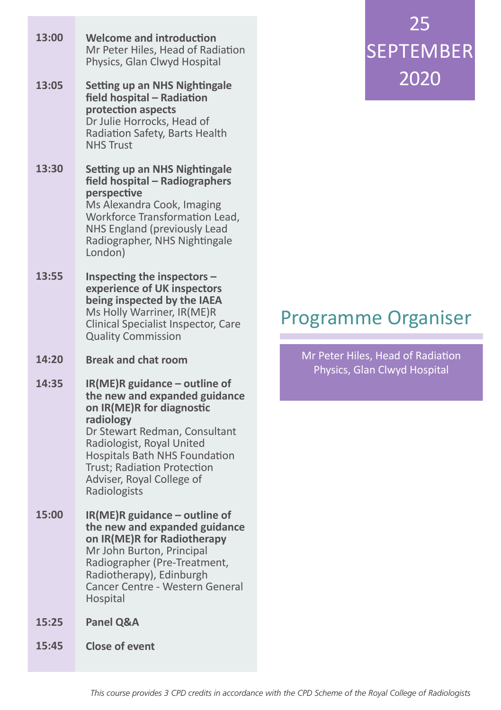| 13:00 | <b>Welcome and introduction</b><br>Mr Peter Hiles, Head of Radiation<br>Physics, Glan Clwyd Hospital                                                                                                                                  |
|-------|---------------------------------------------------------------------------------------------------------------------------------------------------------------------------------------------------------------------------------------|
| 13:05 | Setting up an NHS Nightingale<br>field hospital - Radiation<br>protection aspects<br>Dr Julie Horrocks, Head of<br>Radiation Safety, Barts Health<br><b>NHS Trust</b>                                                                 |
| 13:30 | <b>Setting up an NHS Nightingale</b><br>field hospital - Radiographers<br>perspective<br>Ms Alexandra Cook, Imaging<br>Workforce Transformation Lead,<br>NHS England (previously Lead<br>Radiographer, NHS Nightingale<br>London)     |
| 13:55 | Inspecting the inspectors -<br>experience of UK inspectors<br>being inspected by the IAEA<br>Ms Holly Warriner, IR(ME)R<br>Clinical Specialist Inspector, Care<br><b>Quality Commission</b>                                           |
| 14:20 | <b>Break and chat room</b>                                                                                                                                                                                                            |
| 14:35 | IR(ME)R guidance - outline of<br>the new and expanded guidance<br>on IR(ME)R for diagnostic<br>radiology                                                                                                                              |
|       | Dr Stewart Redman, Consultant<br>Radiologist, Royal United<br>Hospitals Bath NHS Foundation<br>Trust; Radiation Protection<br>Adviser, Royal College of<br>Radiologists                                                               |
| 15:00 | IR(ME)R guidance - outline of<br>the new and expanded guidance<br>on IR(ME)R for Radiotherapy<br>Mr John Burton, Principal<br>Radiographer (Pre-Treatment,<br>Radiotherapy), Edinburgh<br>Cancer Centre - Western General<br>Hospital |
| 15:25 | Panel Q&A                                                                                                                                                                                                                             |

# 25 SEPTEMBER 2020

### Programme Organiser

Mr Peter Hiles, Head of Radiation Physics, Glan Clwyd Hospital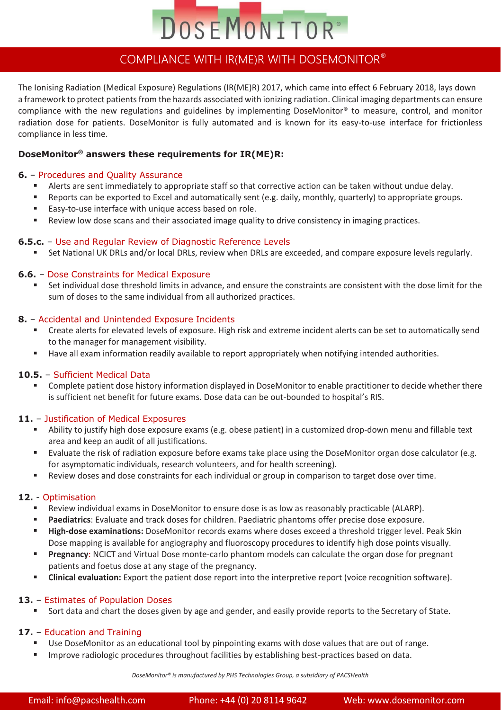

### COMPLIANCE WITH IR(ME)R WITH DOSEMONITOR®

The Ionising Radiation (Medical Exposure) Regulations (IR(ME)R) 2017, which came into effect 6 February 2018, lays down a framework to protect patients from the hazards associated with ionizing radiation. Clinical imaging departments can ensure compliance with the new regulations and guidelines by implementing DoseMonitor® to measure, control, and monitor radiation dose for patients. DoseMonitor is fully automated and is known for its easy-to-use interface for frictionless compliance in less time.

#### **DoseMonitor® answers these requirements for IR(ME)R:**

#### **6.** – Procedures and Quality Assurance

- Alerts are sent immediately to appropriate staff so that corrective action can be taken without undue delay.
- Reports can be exported to Excel and automatically sent (e.g. daily, monthly, quarterly) to appropriate groups.
- Easy-to-use interface with unique access based on role.
- Review low dose scans and their associated image quality to drive consistency in imaging practices.

#### **6.5.c.** – Use and Regular Review of Diagnostic Reference Levels

■ Set National UK DRLs and/or local DRLs, review when DRLs are exceeded, and compare exposure levels regularly.

#### **6.6.** – Dose Constraints for Medical Exposure

Set individual dose threshold limits in advance, and ensure the constraints are consistent with the dose limit for the sum of doses to the same individual from all authorized practices.

#### **8.** – Accidental and Unintended Exposure Incidents

- Create alerts for elevated levels of exposure. High risk and extreme incident alerts can be set to automatically send to the manager for management visibility.
- Have all exam information readily available to report appropriately when notifying intended authorities.

#### **10.5.** – Sufficient Medical Data

■ Complete patient dose history information displayed in DoseMonitor to enable practitioner to decide whether there is sufficient net benefit for future exams. Dose data can be out-bounded to hospital's RIS.

#### **11.** – Justification of Medical Exposures

- Ability to justify high dose exposure exams (e.g. obese patient) in a customized drop-down menu and fillable text area and keep an audit of all justifications.
- Evaluate the risk of radiation exposure before exams take place using the DoseMonitor organ dose calculator (e.g. for asymptomatic individuals, research volunteers, and for health screening).
- Review doses and dose constraints for each individual or group in comparison to target dose over time.

#### **12.** - Optimisation

- Review individual exams in DoseMonitor to ensure dose is as low as reasonably practicable (ALARP).
- **Paediatrics**: Evaluate and track doses for children. Paediatric phantoms offer precise dose exposure.
- **High-dose examinations:** DoseMonitor records exams where doses exceed a threshold trigger level. Peak Skin Dose mapping is available for angiography and fluoroscopy procedures to identify high dose points visually.
- **Pregnancy**: NCICT and Virtual Dose monte-carlo phantom models can calculate the organ dose for pregnant patients and foetus dose at any stage of the pregnancy.
- **Clinical evaluation:** Export the patient dose report into the interpretive report (voice recognition software).

#### **13.** – Estimates of Population Doses

Sort data and chart the doses given by age and gender, and easily provide reports to the Secretary of State.

#### **17.** – Education and Training

- Use DoseMonitor as an educational tool by pinpointing exams with dose values that are out of range.
- **■** Improve radiologic procedures throughout facilities by establishing best-practices based on data.

*DoseMonitor® is manufactured by PHS Technologies Group, a subsidiary of PACSHealth*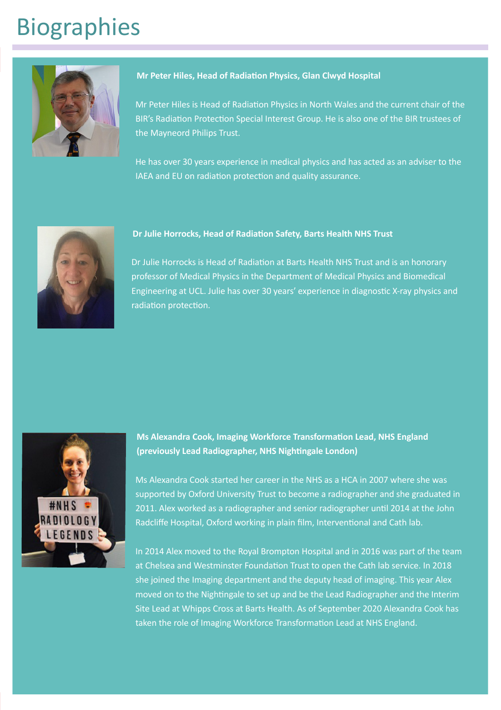# Biographies



#### **Mr Peter Hiles, Head of Radiation Physics, Glan Clwyd Hospital**

Mr Peter Hiles is Head of Radiation Physics in North Wales and the current chair of the BIR's Radiation Protection Special Interest Group. He is also one of the BIR trustees of the Mayneord Philips Trust.

He has over 30 years experience in medical physics and has acted as an adviser to the IAEA and EU on radiation protection and quality assurance.



#### **Dr Julie Horrocks, Head of Radiation Safety, Barts Health NHS Trust**

Dr Julie Horrocks is Head of Radiation at Barts Health NHS Trust and is an honorary professor of Medical Physics in the Department of Medical Physics and Biomedical Engineering at UCL. Julie has over 30 years' experience in diagnostic X-ray physics and radiation protection.



**Ms Alexandra Cook, Imaging Workforce Transformation Lead, NHS England (previously Lead Radiographer, NHS Nightingale London)**

Ms Alexandra Cook started her career in the NHS as a HCA in 2007 where she was supported by Oxford University Trust to become a radiographer and she graduated in 2011. Alex worked as a radiographer and senior radiographer until 2014 at the John Radcliffe Hospital, Oxford working in plain film, Interventional and Cath lab.

In 2014 Alex moved to the Royal Brompton Hospital and in 2016 was part of the team at Chelsea and Westminster Foundation Trust to open the Cath lab service. In 2018 she joined the Imaging department and the deputy head of imaging. This year Alex moved on to the Nightingale to set up and be the Lead Radiographer and the Interim Site Lead at Whipps Cross at Barts Health. As of September 2020 Alexandra Cook has taken the role of Imaging Workforce Transformation Lead at NHS England.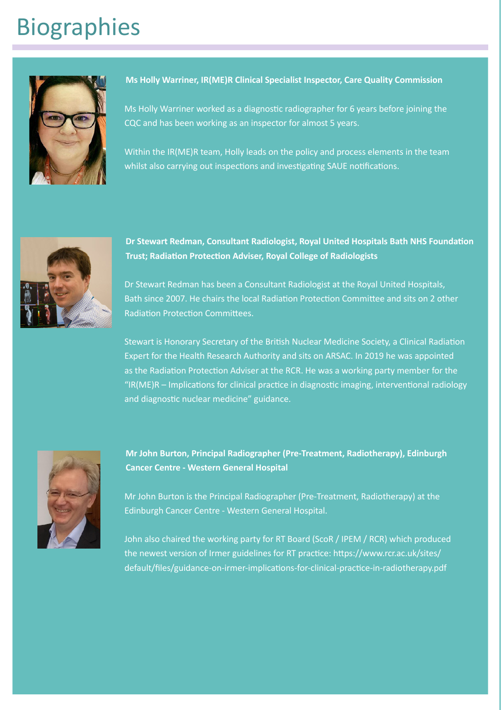# Biographies



#### **Ms Holly Warriner, IR(ME)R Clinical Specialist Inspector, Care Quality Commission**

Ms Holly Warriner worked as a diagnostic radiographer for 6 years before joining the CQC and has been working as an inspector for almost 5 years.

Within the IR(ME)R team, Holly leads on the policy and process elements in the team whilst also carrying out inspections and investigating SAUE notifications.



**Dr Stewart Redman, Consultant Radiologist, Royal United Hospitals Bath NHS Foundation Trust; Radiation Protection Adviser, Royal College of Radiologists**

Dr Stewart Redman has been a Consultant Radiologist at the Royal United Hospitals, Bath since 2007. He chairs the local Radiation Protection Committee and sits on 2 other Radiation Protection Committees.

Stewart is Honorary Secretary of the British Nuclear Medicine Society, a Clinical Radiation Expert for the Health Research Authority and sits on ARSAC. In 2019 he was appointed as the Radiation Protection Adviser at the RCR. He was a working party member for the "IR(ME)R – Implications for clinical practice in diagnostic imaging, interventional radiology and diagnostic nuclear medicine" guidance.



#### **Mr John Burton, Principal Radiographer (Pre-Treatment, Radiotherapy), Edinburgh Cancer Centre - Western General Hospital**

Mr John Burton is the Principal Radiographer (Pre-Treatment, Radiotherapy) at the Edinburgh Cancer Centre - Western General Hospital.

John also chaired the working party for RT Board (ScoR / IPEM / RCR) which produced the newest version of Irmer guidelines for RT practice: https://www.rcr.ac.uk/sites/ default/files/guidance-on-irmer-implications-for-clinical-practice-in-radiotherapy.pdf